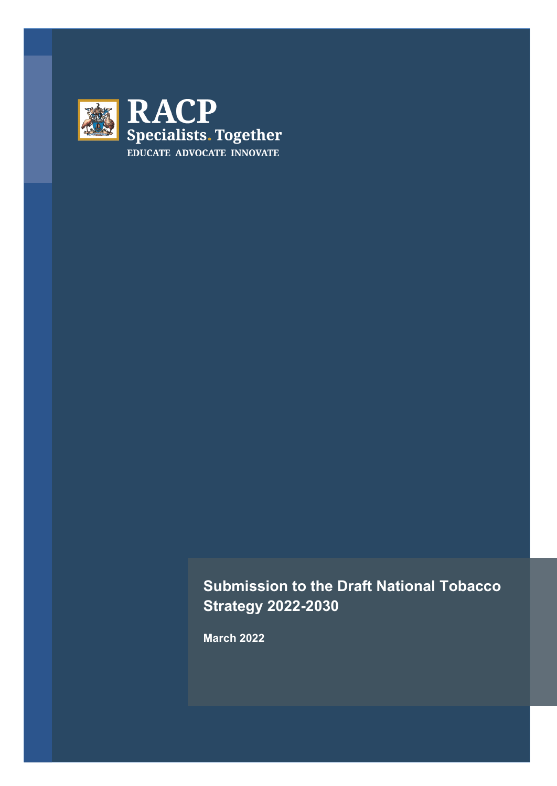

# **Submission to the Draft National Tobacco Strategy 2022-2030**

**March 2022**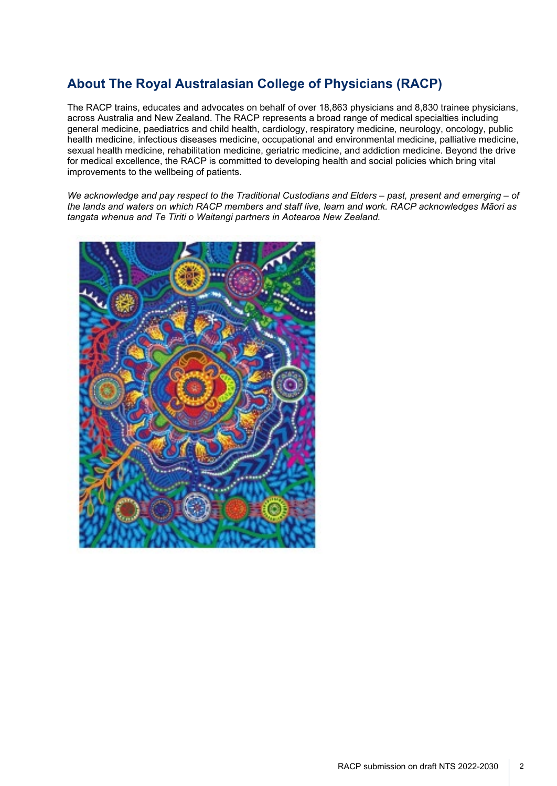### **About The Royal Australasian College of Physicians (RACP)**

The RACP trains, educates and advocates on behalf of over 18,863 physicians and 8,830 trainee physicians, across Australia and New Zealand. The RACP represents a broad range of medical specialties including general medicine, paediatrics and child health, cardiology, respiratory medicine, neurology, oncology, public health medicine, infectious diseases medicine, occupational and environmental medicine, palliative medicine, sexual health medicine, rehabilitation medicine, geriatric medicine, and addiction medicine. Beyond the drive for medical excellence, the RACP is committed to developing health and social policies which bring vital improvements to the wellbeing of patients.

*We acknowledge and pay respect to the Traditional Custodians and Elders – past, present and emerging – of the lands and waters on which RACP members and staff live, learn and work. RACP acknowledges Māori as tangata whenua and Te Tiriti o Waitangi partners in Aotearoa New Zealand.*

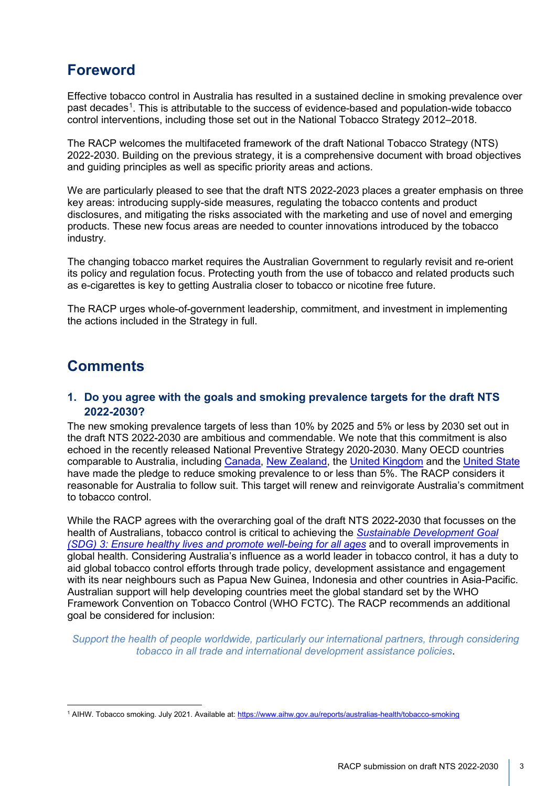# **Foreword**

Effective tobacco control in Australia has resulted in a sustained decline in smoking prevalence over past decades<sup>[1](#page-2-0)</sup>. This is attributable to the success of evidence-based and population-wide tobacco control interventions, including those set out in the National Tobacco Strategy 2012–2018.

The RACP welcomes the multifaceted framework of the draft National Tobacco Strategy (NTS) 2022-2030. Building on the previous strategy, it is a comprehensive document with broad objectives and guiding principles as well as specific priority areas and actions.

We are particularly pleased to see that the draft NTS 2022-2023 places a greater emphasis on three key areas: introducing supply-side measures, regulating the tobacco contents and product disclosures, and mitigating the risks associated with the marketing and use of novel and emerging products. These new focus areas are needed to counter innovations introduced by the tobacco industry.

The changing tobacco market requires the Australian Government to regularly revisit and re-orient its policy and regulation focus. Protecting youth from the use of tobacco and related products such as e-cigarettes is key to getting Australia closer to tobacco or nicotine free future.

The RACP urges whole-of-government leadership, commitment, and investment in implementing the actions included in the Strategy in full.

## **Comments**

#### **1. Do you agree with the goals and smoking prevalence targets for the draft NTS 2022-2030?**

The new smoking prevalence targets of less than 10% by 2025 and 5% or less by 2030 set out in the draft NTS 2022-2030 are ambitious and commendable. We note that this commitment is also echoed in the recently released National Preventive Strategy 2020-2030. Many OECD countries comparable to Australia, including [Canada,](https://www.canada.ca/en/health-canada/services/publications/healthy-living/canada-tobacco-strategy/overview-canada-tobacco-strategy.html) [New Zealand,](https://www.smokefree.org.nz/smokefree-in-action/smokefree-aotearoa-2025) the [United Kingdom](https://www.gov.uk/government/publications/towards-a-smoke-free-generation-tobacco-control-plan-for-england#:%7E:text=The%20objectives%20of%20the%20tobacco,occupations%20and%20the%20general%20population) and the [United State](https://health.gov/healthypeople/objectives-and-data/browse-objectives/tobacco-use) have made the pledge to reduce smoking prevalence to or less than 5%. The RACP considers it reasonable for Australia to follow suit. This target will renew and reinvigorate Australia's commitment to tobacco control.

While the RACP agrees with the overarching goal of the draft NTS 2022-2030 that focusses on the health of Australians, tobacco control is critical to achieving the *[Sustainable Development Goal](https://www.un.org/sustainabledevelopment/health/)  [\(SDG\) 3: Ensure healthy lives and promote well-being for all ages](https://www.un.org/sustainabledevelopment/health/)* and to overall improvements in global health. Considering Australia's influence as a world leader in tobacco control, it has a duty to aid global tobacco control efforts through trade policy, development assistance and engagement with its near neighbours such as Papua New Guinea, Indonesia and other countries in Asia-Pacific. Australian support will help developing countries meet the global standard set by the WHO Framework Convention on Tobacco Control (WHO FCTC). The RACP recommends an additional goal be considered for inclusion:

*Support the health of people worldwide, particularly our international partners, through considering tobacco in all trade and international development assistance policies*.

<span id="page-2-0"></span><sup>&</sup>lt;sup>1</sup> AIHW. Tobacco smoking. July 2021. Available at: https://www.aihw.gov.au/reports/australias-health/tobacco-smoking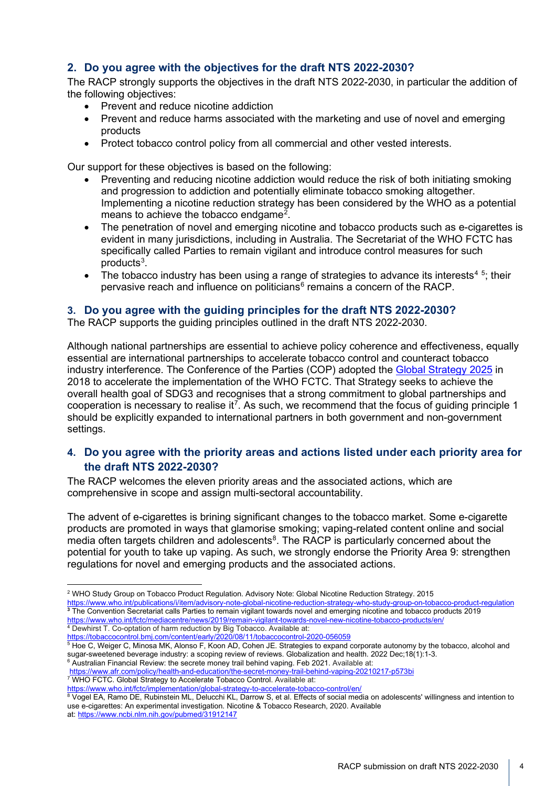#### **2. Do you agree with the objectives for the draft NTS 2022-2030?**

The RACP strongly supports the objectives in the draft NTS 2022-2030, in particular the addition of the following objectives:

- Prevent and reduce nicotine addiction
- Prevent and reduce harms associated with the marketing and use of novel and emerging products
- Protect tobacco control policy from all commercial and other vested interests.

Our support for these objectives is based on the following:

- Preventing and reducing nicotine addiction would reduce the risk of both initiating smoking and progression to addiction and potentially eliminate tobacco smoking altogether. Implementing a nicotine reduction strategy has been considered by the WHO as a potential means to achieve the tobacco endgame<sup>[2](#page-3-0)</sup>.
- The penetration of novel and emerging nicotine and tobacco products such as e-cigarettes is evident in many jurisdictions, including in Australia. The Secretariat of the WHO FCTC has specifically called Parties to remain vigilant and introduce control measures for such products<sup>[3](#page-3-1)</sup>.
- The tobacco industry has been using a range of strategies to advance its interests<sup>[4](#page-3-2)[5](#page-3-3)</sup>; their pervasive reach and influence on politicians<sup>[6](#page-3-4)</sup> remains a concern of the RACP.

#### **3. Do you agree with the guiding principles for the draft NTS 2022-2030?**

The RACP supports the guiding principles outlined in the draft NTS 2022-2030.

Although national partnerships are essential to achieve policy coherence and effectiveness, equally essential are international partnerships to accelerate tobacco control and counteract tobacco industry interference. The Conference of the Parties (COP) adopted the [Global Strategy 2025](https://fctc.who.int/who-fctc/overview/global-strategy-2025) in 2018 to accelerate the implementation of the WHO FCTC. That Strategy seeks to achieve the overall health goal of SDG3 and recognises that a strong commitment to global partnerships and cooperation is necessary to realise it<sup>7</sup>. As such, we recommend that the focus of guiding principle 1 should be explicitly expanded to international partners in both government and non-government settings.

#### **4. Do you agree with the priority areas and actions listed under each priority area for the draft NTS 2022-2030?**

The RACP welcomes the eleven priority areas and the associated actions, which are comprehensive in scope and assign multi-sectoral accountability.

The advent of e-cigarettes is brining significant changes to the tobacco market. Some e-cigarette products are promoted in ways that glamorise smoking; vaping-related content online and social media often targets children and adolescents $8$ . The RACP is particularly concerned about the potential for youth to take up vaping. As such, we strongly endorse the Priority Area 9: strengthen regulations for novel and emerging products and the associated actions.

<span id="page-3-1"></span><https://www.who.int/publications/i/item/advisory-note-global-nicotine-reduction-strategy-who-study-group-on-tobacco-product-regulation> **<sup>3</sup>** The Convention Secretariat calls Parties to remain vigilant towards novel and emerging nicotine and tobacco products 2019 <https://www.who.int/fctc/mediacentre/news/2019/remain-vigilant-towards-novel-new-nicotine-tobacco-products/en/>

<span id="page-3-2"></span><sup>4</sup> Dewhirst T. Co-optation of harm reduction by Big Tobacco. Available at: <https://tobaccocontrol.bmj.com/content/early/2020/08/11/tobaccocontrol-2020-056059>

<span id="page-3-3"></span> $\frac{5}{6}$  Hoe C, Weiger C, Minosa MK, Alonso F, Koon AD, Cohen JE. Strategies to expand corporate autonomy by the tobacco, alcohol and sugar-sweetened beverage industry: a scoping review of reviews. Globalization and heal <sup>6</sup> Australian Financial Review: the secrete money trail behind vaping. Feb 2021. Available at:

<span id="page-3-4"></span><https://www.afr.com/policy/health-and-education/the-secret-money-trail-behind-vaping-20210217-p573bi>

<span id="page-3-5"></span><sup>7</sup> WHO FCTC. Global Strategy to Accelerate Tobacco Control. Available at:

<https://www.who.int/fctc/implementation/global-strategy-to-accelerate-tobacco-control/en/>

<span id="page-3-6"></span>8 Vogel EA, Ramo DE, Rubinstein ML, Delucchi KL, Darrow S, et al. Effects of social media on adolescents' willingness and intention to use e-cigarettes: An experimental investigation. Nicotine & Tobacco Research, 2020. Available at: <https://www.ncbi.nlm.nih.gov/pubmed/31912147>

<span id="page-3-0"></span><sup>2</sup> WHO Study Group on Tobacco Product Regulation. Advisory Note: Global Nicotine Reduction Strategy. 2015